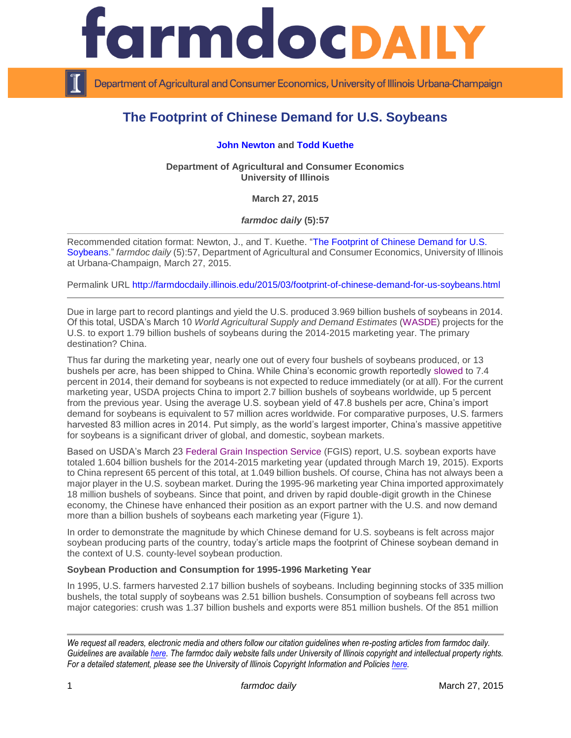

Department of Agricultural and Consumer Economics, University of Illinois Urbana-Champaign

# **The Footprint of Chinese Demand for U.S. Soybeans**

## **[John Newton](http://farmdoc.illinois.edu/newton/) and [Todd Kuethe](http://farmdoc.illinois.edu/kuethe/)**

**Department of Agricultural and Consumer Economics University of Illinois**

**March 27, 2015**

*farmdoc daily* **(5):57**

Recommended citation format: Newton, J., and T. Kuethe. ["The Footprint of Chinese Demand for U.S.](http://farmdocdaily.illinois.edu/2015/03/footprint-of-chinese-demand-for-us-soybeans.html)  [Soybeans.](http://farmdocdaily.illinois.edu/2015/03/footprint-of-chinese-demand-for-us-soybeans.html)" *farmdoc daily* (5):57, Department of Agricultural and Consumer Economics, University of Illinois at Urbana-Champaign, March 27, 2015.

Permalink URL<http://farmdocdaily.illinois.edu/2015/03/footprint-of-chinese-demand-for-us-soybeans.html>

Due in large part to record plantings and yield the U.S. produced 3.969 billion bushels of soybeans in 2014. Of this total, USDA's March 10 *World Agricultural Supply and Demand Estimates* [\(WASDE\)](http://www.usda.gov/oce/commodity/wasde/latest.pdf) projects for the U.S. to export 1.79 billion bushels of soybeans during the 2014-2015 marketing year. The primary destination? China.

Thus far during the marketing year, nearly one out of every four bushels of soybeans produced, or 13 bushels per acre, has been shipped to China. While China's economic growth reportedly [slowed](http://www.wsj.com/articles/china-gdp-growth-is-slowest-in-24-years-1421719453) to 7.4 percent in 2014, their demand for soybeans is not expected to reduce immediately (or at all). For the current marketing year, USDA projects China to import 2.7 billion bushels of soybeans worldwide, up 5 percent from the previous year. Using the average U.S. soybean yield of 47.8 bushels per acre, China's import demand for soybeans is equivalent to 57 million acres worldwide. For comparative purposes, U.S. farmers harvested 83 million acres in 2014. Put simply, as the world's largest importer, China's massive appetitive for soybeans is a significant driver of global, and domestic, soybean markets.

Based on USDA's March 23 [Federal Grain Inspection Service](http://www.ams.usda.gov/mnreports/wa_gr101.txt) (FGIS) report, U.S. soybean exports have totaled 1.604 billion bushels for the 2014-2015 marketing year (updated through March 19, 2015). Exports to China represent 65 percent of this total, at 1.049 billion bushels. Of course, China has not always been a major player in the U.S. soybean market. During the 1995-96 marketing year China imported approximately 18 million bushels of soybeans. Since that point, and driven by rapid double-digit growth in the Chinese economy, the Chinese have enhanced their position as an export partner with the U.S. and now demand more than a billion bushels of soybeans each marketing year (Figure 1).

In order to demonstrate the magnitude by which Chinese demand for U.S. soybeans is felt across major soybean producing parts of the country, today's article maps the footprint of Chinese soybean demand in the context of U.S. county-level soybean production.

#### **Soybean Production and Consumption for 1995-1996 Marketing Year**

In 1995, U.S. farmers harvested 2.17 billion bushels of soybeans. Including beginning stocks of 335 million bushels, the total supply of soybeans was 2.51 billion bushels. Consumption of soybeans fell across two major categories: crush was 1.37 billion bushels and exports were 851 million bushels. Of the 851 million

*We request all readers, electronic media and others follow our citation guidelines when re-posting articles from farmdoc daily. Guidelines are available [here.](http://farmdocdaily.illinois.edu/citationguide.html) The farmdoc daily website falls under University of Illinois copyright and intellectual property rights. For a detailed statement, please see the University of Illinois Copyright Information and Policies [here.](http://www.cio.illinois.edu/policies/copyright/)*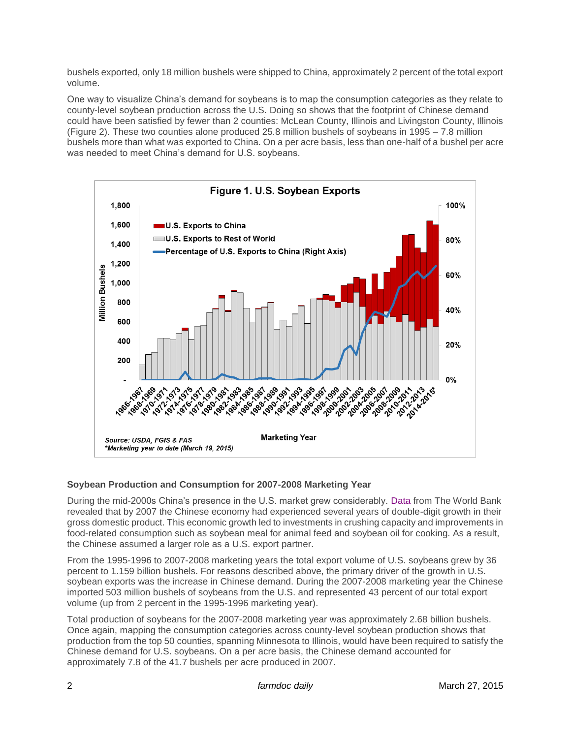bushels exported, only 18 million bushels were shipped to China, approximately 2 percent of the total export volume.

One way to visualize China's demand for soybeans is to map the consumption categories as they relate to county-level soybean production across the U.S. Doing so shows that the footprint of Chinese demand could have been satisfied by fewer than 2 counties: McLean County, Illinois and Livingston County, Illinois (Figure 2). These two counties alone produced 25.8 million bushels of soybeans in 1995 – 7.8 million bushels more than what was exported to China. On a per acre basis, less than one-half of a bushel per acre was needed to meet China's demand for U.S. soybeans.



# **Soybean Production and Consumption for 2007-2008 Marketing Year**

During the mid-2000s China's presence in the U.S. market grew considerably. [Data](http://data.worldbank.org/country/china) from The World Bank revealed that by 2007 the Chinese economy had experienced several years of double-digit growth in their gross domestic product. This economic growth led to investments in crushing capacity and improvements in food-related consumption such as soybean meal for animal feed and soybean oil for cooking. As a result, the Chinese assumed a larger role as a U.S. export partner.

From the 1995-1996 to 2007-2008 marketing years the total export volume of U.S. soybeans grew by 36 percent to 1.159 billion bushels. For reasons described above, the primary driver of the growth in U.S. soybean exports was the increase in Chinese demand. During the 2007-2008 marketing year the Chinese imported 503 million bushels of soybeans from the U.S. and represented 43 percent of our total export volume (up from 2 percent in the 1995-1996 marketing year).

Total production of soybeans for the 2007-2008 marketing year was approximately 2.68 billion bushels. Once again, mapping the consumption categories across county-level soybean production shows that production from the top 50 counties, spanning Minnesota to Illinois, would have been required to satisfy the Chinese demand for U.S. soybeans. On a per acre basis, the Chinese demand accounted for approximately 7.8 of the 41.7 bushels per acre produced in 2007.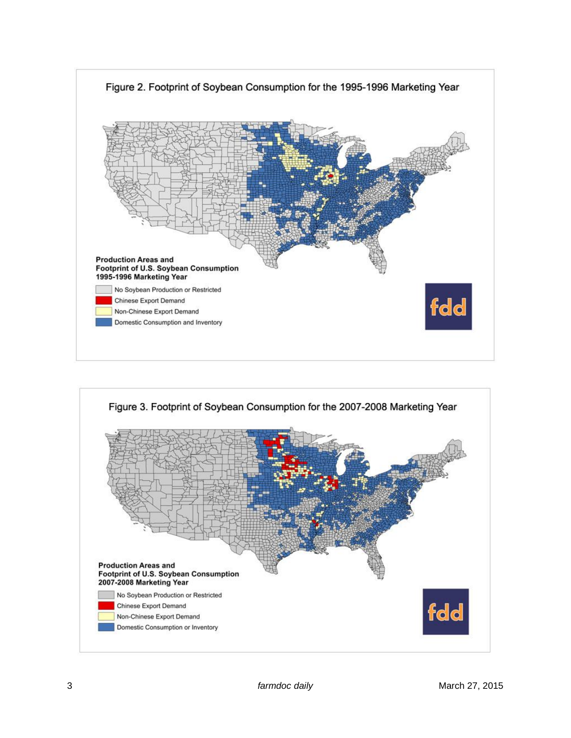

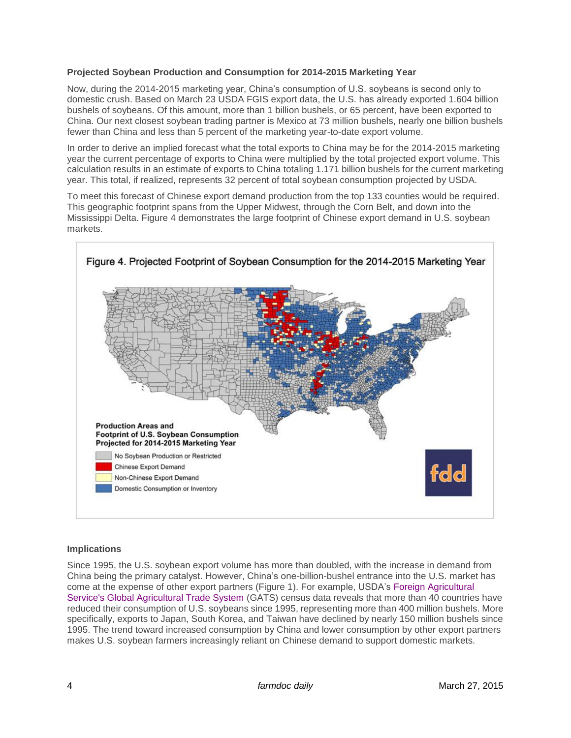## **Projected Soybean Production and Consumption for 2014-2015 Marketing Year**

Now, during the 2014-2015 marketing year, China's consumption of U.S. soybeans is second only to domestic crush. Based on March 23 USDA FGIS export data, the U.S. has already exported 1.604 billion bushels of soybeans. Of this amount, more than 1 billion bushels, or 65 percent, have been exported to China. Our next closest soybean trading partner is Mexico at 73 million bushels, nearly one billion bushels fewer than China and less than 5 percent of the marketing year-to-date export volume.

In order to derive an implied forecast what the total exports to China may be for the 2014-2015 marketing year the current percentage of exports to China were multiplied by the total projected export volume. This calculation results in an estimate of exports to China totaling 1.171 billion bushels for the current marketing year. This total, if realized, represents 32 percent of total soybean consumption projected by USDA.

To meet this forecast of Chinese export demand production from the top 133 counties would be required. This geographic footprint spans from the Upper Midwest, through the Corn Belt, and down into the Mississippi Delta. Figure 4 demonstrates the large footprint of Chinese export demand in U.S. soybean markets.



#### **Implications**

Since 1995, the U.S. soybean export volume has more than doubled, with the increase in demand from China being the primary catalyst. However, China's one-billion-bushel entrance into the U.S. market has come at the expense of other export partners (Figure 1). For example, USDA's [Foreign Agricultural](http://apps.fas.usda.gov/Gats/default.aspx)  [Service's Global Agricultural Trade System](http://apps.fas.usda.gov/Gats/default.aspx) (GATS) census data reveals that more than 40 countries have reduced their consumption of U.S. soybeans since 1995, representing more than 400 million bushels. More specifically, exports to Japan, South Korea, and Taiwan have declined by nearly 150 million bushels since 1995. The trend toward increased consumption by China and lower consumption by other export partners makes U.S. soybean farmers increasingly reliant on Chinese demand to support domestic markets.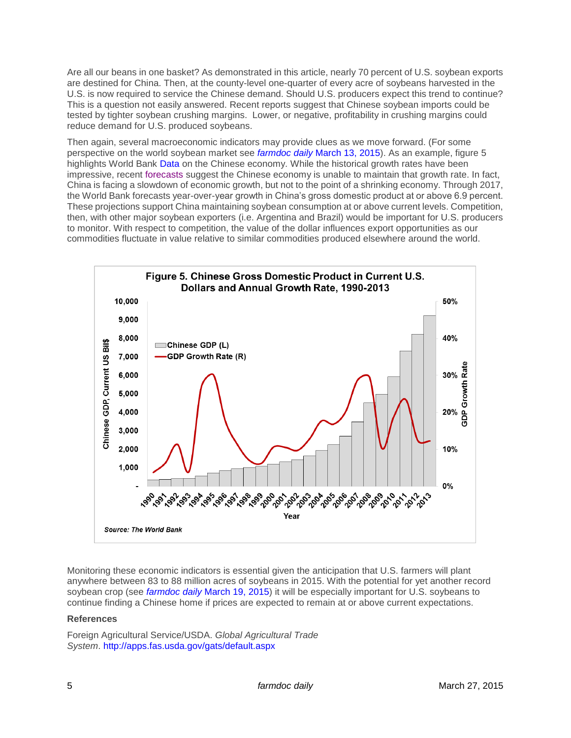Are all our beans in one basket? As demonstrated in this article, nearly 70 percent of U.S. soybean exports are destined for China. Then, at the county-level one-quarter of every acre of soybeans harvested in the U.S. is now required to service the Chinese demand. Should U.S. producers expect this trend to continue? This is a question not easily answered. Recent reports suggest that Chinese soybean imports could be tested by tighter soybean crushing margins. Lower, or negative, profitability in crushing margins could reduce demand for U.S. produced soybeans.

Then again, several macroeconomic indicators may provide clues as we move forward. (For some perspective on the world soybean market see *farmdoc daily* [March 13, 2015\)](http://farmdocdaily.illinois.edu/2015/03/some-key-trends-in-the-world-soybean-market.html). As an example, figure 5 highlights World Bank [Data](http://data.worldbank.org/country/china) on the Chinese economy. While the historical growth rates have been impressive, recent [forecasts](http://www.worldbank.org/en/publication/global-economic-prospects/regional-outlooks/eap) suggest the Chinese economy is unable to maintain that growth rate. In fact, China is facing a slowdown of economic growth, but not to the point of a shrinking economy. Through 2017, the World Bank forecasts year-over-year growth in China's gross domestic product at or above 6.9 percent. These projections support China maintaining soybean consumption at or above current levels. Competition, then, with other major soybean exporters (i.e. Argentina and Brazil) would be important for U.S. producers to monitor. With respect to competition, the value of the dollar influences export opportunities as our commodities fluctuate in value relative to similar commodities produced elsewhere around the world.



Monitoring these economic indicators is essential given the anticipation that U.S. farmers will plant anywhere between 83 to 88 million acres of soybeans in 2015. With the potential for yet another record soybean crop (see *farmdoc daily* [March 19, 2015\)](http://farmdocdaily.illinois.edu/2015/03/expectations-for-2015-us-average-soybean-yield.html) it will be especially important for U.S. soybeans to continue finding a Chinese home if prices are expected to remain at or above current expectations.

# **References**

Foreign Agricultural Service/USDA. *Global Agricultural Trade System*. <http://apps.fas.usda.gov/gats/default.aspx>